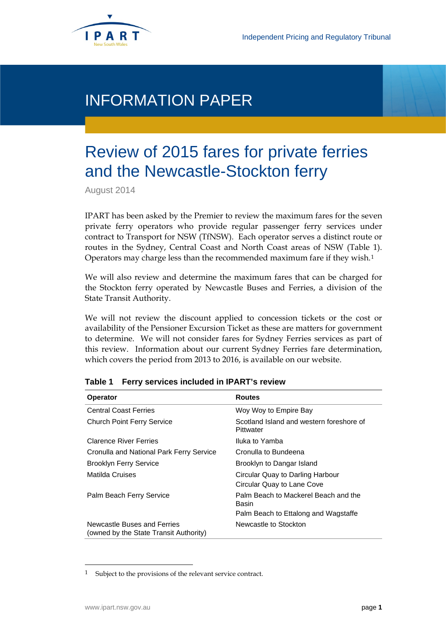

# INFORMATION PAPER

# Review of 2015 fares for private ferries and the Newcastle-Stockton ferry

August 2014

IPART has been asked by the Premier to review the maximum fares for the seven private ferry operators who provide regular passenger ferry services under contract to Transport for NSW (TfNSW). Each operator serves a distinct route or routes in the Sydney, Central Coast and North Coast areas of NSW (Table 1). Operators may charge less than the recommended maximum fare if they wish.[1](#page-0-0)

We will also review and determine the maximum fares that can be charged for the Stockton ferry operated by Newcastle Buses and Ferries, a division of the State Transit Authority.

We will not review the discount applied to concession tickets or the cost or availability of the Pensioner Excursion Ticket as these are matters for government to determine. We will not consider fares for Sydney Ferries services as part of this review. Information about our current Sydney Ferries fare determination, which covers the period from 2013 to 2016, is available on our website.

| <b>Operator</b>                                                       | <b>Routes</b>                                                  |
|-----------------------------------------------------------------------|----------------------------------------------------------------|
| <b>Central Coast Ferries</b>                                          | Woy Woy to Empire Bay                                          |
| <b>Church Point Ferry Service</b>                                     | Scotland Island and western foreshore of<br>Pittwater          |
| <b>Clarence River Ferries</b>                                         | Iluka to Yamba                                                 |
| Cronulla and National Park Ferry Service                              | Cronulla to Bundeena                                           |
| <b>Brooklyn Ferry Service</b>                                         | Brooklyn to Dangar Island                                      |
| Matilda Cruises                                                       | Circular Quay to Darling Harbour<br>Circular Quay to Lane Cove |
| Palm Beach Ferry Service                                              | Palm Beach to Mackerel Beach and the<br>Basin                  |
|                                                                       | Palm Beach to Ettalong and Wagstaffe                           |
| Newcastle Buses and Ferries<br>(owned by the State Transit Authority) | Newcastle to Stockton                                          |

### **Table 1 Ferry services included in IPART's review**

 $\ddot{\phantom{a}}$ 

<span id="page-0-0"></span><sup>1</sup> Subject to the provisions of the relevant service contract.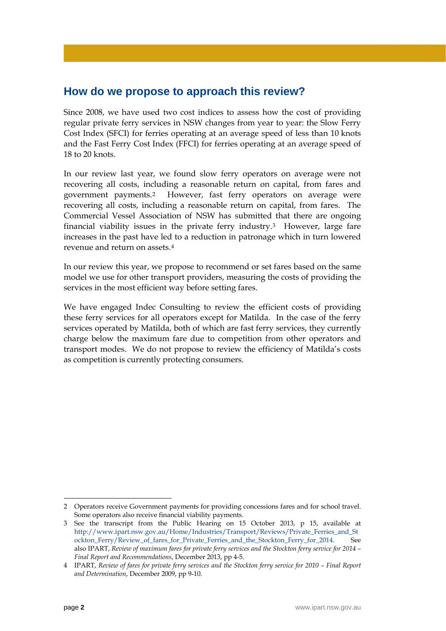# **How do we propose to approach this review?**

Since 2008, we have used two cost indices to assess how the cost of providing regular private ferry services in NSW changes from year to year: the Slow Ferry Cost Index (SFCI) for ferries operating at an average speed of less than 10 knots and the Fast Ferry Cost Index (FFCI) for ferries operating at an average speed of 18 to 20 knots.

In our review last year, we found slow ferry operators on average were not recovering all costs, including a reasonable return on capital, from fares and government payments.[2](#page-1-0) However, fast ferry operators on average were recovering all costs, including a reasonable return on capital, from fares. The Commercial Vessel Association of NSW has submitted that there are ongoing financial viability issues in the private ferry industry.[3](#page-1-1) However, large fare increases in the past have led to a reduction in patronage which in turn lowered revenue and return on assets.[4](#page-1-2)

In our review this year, we propose to recommend or set fares based on the same model we use for other transport providers, measuring the costs of providing the services in the most efficient way before setting fares.

We have engaged Indec Consulting to review the efficient costs of providing these ferry services for all operators except for Matilda. In the case of the ferry services operated by Matilda, both of which are fast ferry services, they currently charge below the maximum fare due to competition from other operators and transport modes. We do not propose to review the efficiency of Matilda's costs as competition is currently protecting consumers.

 $\overline{a}$ 

<span id="page-1-0"></span><sup>2</sup> Operators receive Government payments for providing concessions fares and for school travel. Some operators also receive financial viability payments.

<span id="page-1-1"></span><sup>3</sup> See the transcript from the Public Hearing on 15 October 2013, p 15, available at [http://www.ipart.nsw.gov.au/Home/Industries/Transport/Reviews/Private\\_Ferries\\_and\\_St](http://www.ipart.nsw.gov.au/Home/Industries/Transport/Reviews/Private_Ferries_and_Stockton_Ferry/Review_of_fares_for_Private_Ferries_and_the_Stockton_Ferry_for_2014) [ockton\\_Ferry/Review\\_of\\_fares\\_for\\_Private\\_Ferries\\_and\\_the\\_Stockton\\_Ferry\\_for\\_2014.](http://www.ipart.nsw.gov.au/Home/Industries/Transport/Reviews/Private_Ferries_and_Stockton_Ferry/Review_of_fares_for_Private_Ferries_and_the_Stockton_Ferry_for_2014) See also IPART, *Review of maximum fares for private ferry services and the Stockton ferry service for 2014 – Final Report and Recommendations*, December 2013, pp 4-5.

<span id="page-1-2"></span><sup>4</sup> IPART, *Review of fares for private ferry services and the Stockton ferry service for 2010 – Final Report and Determination*, December 2009, pp 9-10.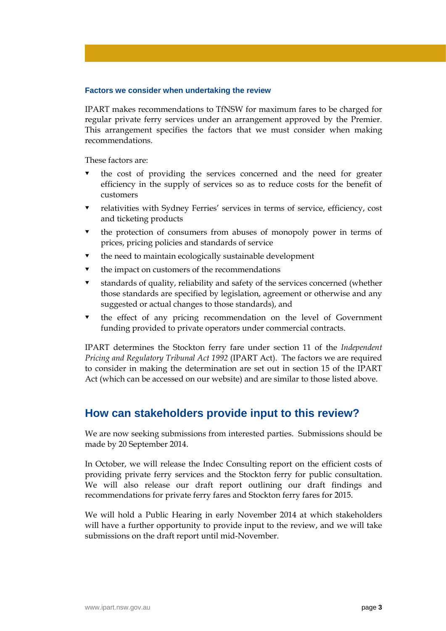### **Factors we consider when undertaking the review**

IPART makes recommendations to TfNSW for maximum fares to be charged for regular private ferry services under an arrangement approved by the Premier. This arrangement specifies the factors that we must consider when making recommendations.

These factors are:

- the cost of providing the services concerned and the need for greater efficiency in the supply of services so as to reduce costs for the benefit of customers
- relativities with Sydney Ferries' services in terms of service, efficiency, cost and ticketing products
- the protection of consumers from abuses of monopoly power in terms of prices, pricing policies and standards of service
- the need to maintain ecologically sustainable development
- the impact on customers of the recommendations
- standards of quality, reliability and safety of the services concerned (whether those standards are specified by legislation, agreement or otherwise and any suggested or actual changes to those standards), and
- the effect of any pricing recommendation on the level of Government funding provided to private operators under commercial contracts.

IPART determines the Stockton ferry fare under section 11 of the *Independent Pricing and Regulatory Tribunal Act 1992* (IPART Act). The factors we are required to consider in making the determination are set out in section 15 of the IPART Act (which can be accessed on our website) and are similar to those listed above.

## **How can stakeholders provide input to this review?**

We are now seeking submissions from interested parties. Submissions should be made by 20 September 2014.

In October, we will release the Indec Consulting report on the efficient costs of providing private ferry services and the Stockton ferry for public consultation. We will also release our draft report outlining our draft findings and recommendations for private ferry fares and Stockton ferry fares for 2015.

We will hold a Public Hearing in early November 2014 at which stakeholders will have a further opportunity to provide input to the review, and we will take submissions on the draft report until mid-November.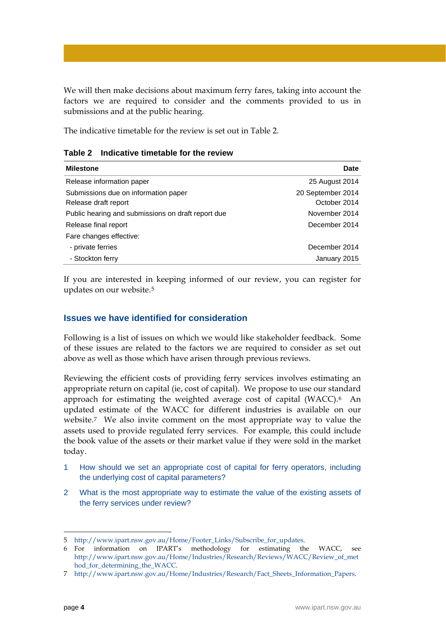We will then make decisions about maximum ferry fares, taking into account the factors we are required to consider and the comments provided to us in submissions and at the public hearing.

The indicative timetable for the review is set out in Table 2.

|  |  | Table 2 Indicative timetable for the review |  |
|--|--|---------------------------------------------|--|
|--|--|---------------------------------------------|--|

| <b>Milestone</b>                                   | Date              |
|----------------------------------------------------|-------------------|
| Release information paper                          | 25 August 2014    |
| Submissions due on information paper               | 20 September 2014 |
| Release draft report                               | October 2014      |
| Public hearing and submissions on draft report due | November 2014     |
| Release final report                               | December 2014     |
| Fare changes effective:                            |                   |
| - private ferries                                  | December 2014     |
| - Stockton ferry                                   | January 2015      |

If you are interested in keeping informed of our review, you can register for updates on our website.[5](#page-3-0)

## **Issues we have identified for consideration**

Following is a list of issues on which we would like stakeholder feedback. Some of these issues are related to the factors we are required to consider as set out above as well as those which have arisen through previous reviews.

Reviewing the efficient costs of providing ferry services involves estimating an appropriate return on capital (ie, cost of capital). We propose to use our standard approach for estimating the weighted average cost of capital (WACC).[6](#page-3-1) An updated estimate of the WACC for different industries is available on our website.[7](#page-3-2) We also invite comment on the most appropriate way to value the assets used to provide regulated ferry services. For example, this could include the book value of the assets or their market value if they were sold in the market today.

- 1 How should we set an appropriate cost of capital for ferry operators, including the underlying cost of capital parameters?
- 2 What is the most appropriate way to estimate the value of the existing assets of the ferry services under review?

 $\overline{a}$ 

<span id="page-3-0"></span><sup>5</sup> [http://www.ipart.nsw.gov.au/Home/Footer\\_Links/Subscribe\\_for\\_updates.](http://www.ipart.nsw.gov.au/Home/Footer_Links/Subscribe_for_updates)

<span id="page-3-1"></span><sup>6</sup> For information on IPART's methodology for estimating the WACC, see [http://www.ipart.nsw.gov.au/Home/Industries/Research/Reviews/WACC/Review\\_of\\_met](http://www.ipart.nsw.gov.au/Home/Industries/Research/Reviews/WACC/Review_of_method_for_determining_the_WACC) [hod\\_for\\_determining\\_the\\_WACC.](http://www.ipart.nsw.gov.au/Home/Industries/Research/Reviews/WACC/Review_of_method_for_determining_the_WACC)

<span id="page-3-2"></span><sup>7</sup> [http://www.ipart.nsw.gov.au/Home/Industries/Research/Fact\\_Sheets\\_Information\\_Papers.](http://www.ipart.nsw.gov.au/Home/Industries/Research/Fact_Sheets_Information_Papers)